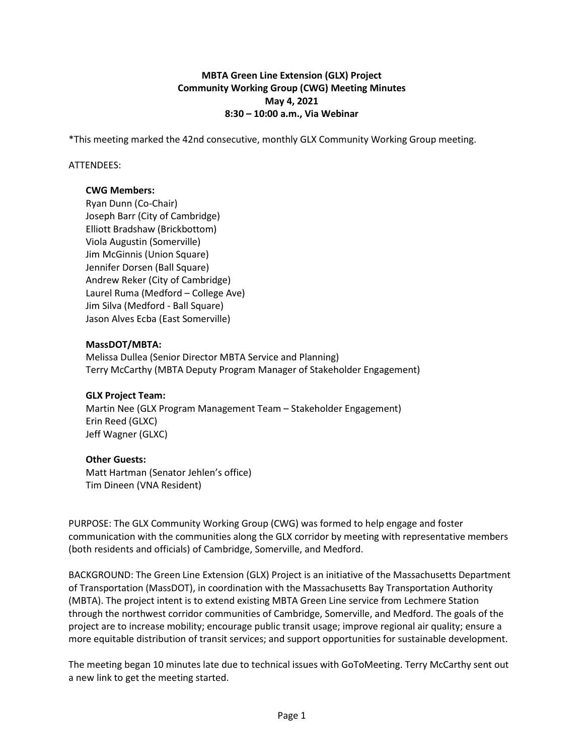## **MBTA Green Line Extension (GLX) Project Community Working Group (CWG) Meeting Minutes May 4, 2021 8:30 – 10:00 a.m., Via Webinar**

\*This meeting marked the 42nd consecutive, monthly GLX Community Working Group meeting.

### ATTENDEES:

#### **CWG Members:**

Ryan Dunn (Co-Chair) Joseph Barr (City of Cambridge) Elliott Bradshaw (Brickbottom) Viola Augustin (Somerville) Jim McGinnis (Union Square) Jennifer Dorsen (Ball Square) Andrew Reker (City of Cambridge) Laurel Ruma (Medford – College Ave) Jim Silva (Medford - Ball Square) Jason Alves Ecba (East Somerville)

#### **MassDOT/MBTA:**

Melissa Dullea (Senior Director MBTA Service and Planning) Terry McCarthy (MBTA Deputy Program Manager of Stakeholder Engagement)

### **GLX Project Team:**

Martin Nee (GLX Program Management Team – Stakeholder Engagement) Erin Reed (GLXC) Jeff Wagner (GLXC)

### **Other Guests:**

Matt Hartman (Senator Jehlen's office) Tim Dineen (VNA Resident)

PURPOSE: The GLX Community Working Group (CWG) was formed to help engage and foster communication with the communities along the GLX corridor by meeting with representative members (both residents and officials) of Cambridge, Somerville, and Medford.

BACKGROUND: The Green Line Extension (GLX) Project is an initiative of the Massachusetts Department of Transportation (MassDOT), in coordination with the Massachusetts Bay Transportation Authority (MBTA). The project intent is to extend existing MBTA Green Line service from Lechmere Station through the northwest corridor communities of Cambridge, Somerville, and Medford. The goals of the project are to increase mobility; encourage public transit usage; improve regional air quality; ensure a more equitable distribution of transit services; and support opportunities for sustainable development.

The meeting began 10 minutes late due to technical issues with GoToMeeting. Terry McCarthy sent out a new link to get the meeting started.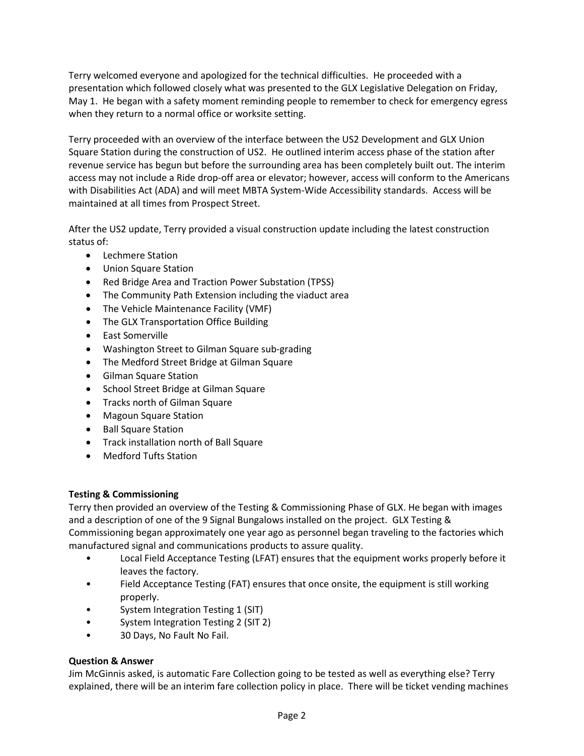Terry welcomed everyone and apologized for the technical difficulties. He proceeded with a presentation which followed closely what was presented to the GLX Legislative Delegation on Friday, May 1. He began with a safety moment reminding people to remember to check for emergency egress when they return to a normal office or worksite setting.

Terry proceeded with an overview of the interface between the US2 Development and GLX Union Square Station during the construction of US2. He outlined interim access phase of the station after revenue service has begun but before the surrounding area has been completely built out. The interim access may not include a Ride drop-off area or elevator; however, access will conform to the Americans with Disabilities Act (ADA) and will meet MBTA System-Wide Accessibility standards. Access will be maintained at all times from Prospect Street.

After the US2 update, Terry provided a visual construction update including the latest construction status of:

- Lechmere Station
- Union Square Station
- Red Bridge Area and Traction Power Substation (TPSS)
- The Community Path Extension including the viaduct area
- The Vehicle Maintenance Facility (VMF)
- The GLX Transportation Office Building
- East Somerville
- Washington Street to Gilman Square sub-grading
- The Medford Street Bridge at Gilman Square
- Gilman Square Station
- School Street Bridge at Gilman Square
- Tracks north of Gilman Square
- Magoun Square Station
- Ball Square Station
- Track installation north of Ball Square
- Medford Tufts Station

# **Testing & Commissioning**

Terry then provided an overview of the Testing & Commissioning Phase of GLX. He began with images and a description of one of the 9 Signal Bungalows installed on the project. GLX Testing & Commissioning began approximately one year ago as personnel began traveling to the factories which manufactured signal and communications products to assure quality.

- Local Field Acceptance Testing (LFAT) ensures that the equipment works properly before it leaves the factory.
- Field Acceptance Testing (FAT) ensures that once onsite, the equipment is still working properly.
- System Integration Testing 1 (SIT)
- System Integration Testing 2 (SIT 2)
- 30 Days, No Fault No Fail.

# **Question & Answer**

Jim McGinnis asked, is automatic Fare Collection going to be tested as well as everything else? Terry explained, there will be an interim fare collection policy in place. There will be ticket vending machines